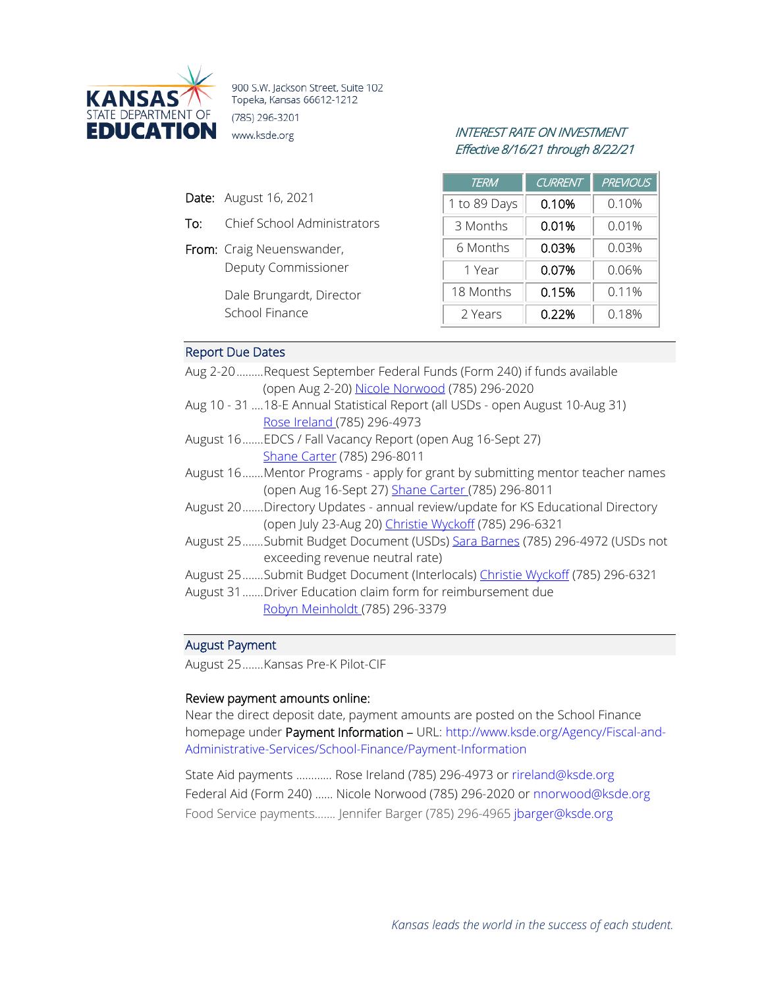

900 S.W. Jackson Street, Suite 102 Topeka, Kansas 66612-1212 (785) 296-3201 **EDUCATION** www.ksde.org *INTEREST RATE ON INVESTMENT* 

# Effective 8/16/21 through 8/22/21

- Date: August 16, 2021
- To: Chief School Administrators
- From: Craig Neuenswander, Deputy Commissioner

Dale Brungardt, Director School Finance

| <b>TERM</b>  | <b>CURRENT</b> | <b>PREVIOUS</b> |
|--------------|----------------|-----------------|
| 1 to 89 Days | 0.10%          | 0.10%           |
| 3 Months     | 0.01%          | 0.01%           |
| 6 Months     | 0.03%          | 0.03%           |
| 1 Year       | 0.07%          | 0.06%           |
| 18 Months    | 0.15%          | 0.11%           |
| 2 Years      | 0.22%          | 0.18%           |

# Report Due Dates

| Aug 2-20Request September Federal Funds (Form 240) if funds available<br>(open Aug 2-20) Nicole Norwood (785) 296-2020 |
|------------------------------------------------------------------------------------------------------------------------|
| Aug 10 - 31  18-E Annual Statistical Report (all USDs - open August 10-Aug 31)                                         |
| Rose Ireland (785) 296-4973                                                                                            |
| August 16EDCS / Fall Vacancy Report (open Aug 16-Sept 27)                                                              |
| Shane Carter (785) 296-8011                                                                                            |
| August 16Mentor Programs - apply for grant by submitting mentor teacher names                                          |
| (open Aug 16-Sept 27) Shane Carter (785) 296-8011                                                                      |
| August 20Directory Updates - annual review/update for KS Educational Directory                                         |
| (open July 23-Aug 20) Christie Wyckoff (785) 296-6321                                                                  |
| August 25Submit Budget Document (USDs) Sara Barnes (785) 296-4972 (USDs not                                            |
| exceeding revenue neutral rate)                                                                                        |
| August 25Submit Budget Document (Interlocals) Christie Wyckoff (785) 296-6321                                          |
| August 31 Driver Education claim form for reimbursement due                                                            |
| Robyn Meinholdt (785) 296-3379                                                                                         |
|                                                                                                                        |

# August Payment

August 25.......Kansas Pre-K Pilot-CIF

# Review payment amounts online:

Near the direct deposit date, payment amounts are posted on the School Finance homepage under Payment Information – URL: [http://www.ksde.org/Agency/Fiscal-and-](http://www.ksde.org/Agency/Fiscal-and-Administrative-Services/School-Finance/Payment-Information)[Administrative-Services/School-Finance/Payment-Information](http://www.ksde.org/Agency/Fiscal-and-Administrative-Services/School-Finance/Payment-Information)

State Aid payments ………… Rose Ireland (785) 296-4973 or [rireland@ksde.org](mailto:rireland@ksde.org)  Federal Aid (Form 240) …… Nicole Norwood (785) 296-2020 or [nnorwood@ksde.org](mailto:nnorwood@ksde.org) Food Service payments……. Jennifer Barger (785) 296-4965 [jbarger@ksde.org](mailto:jbarger@ksde.org)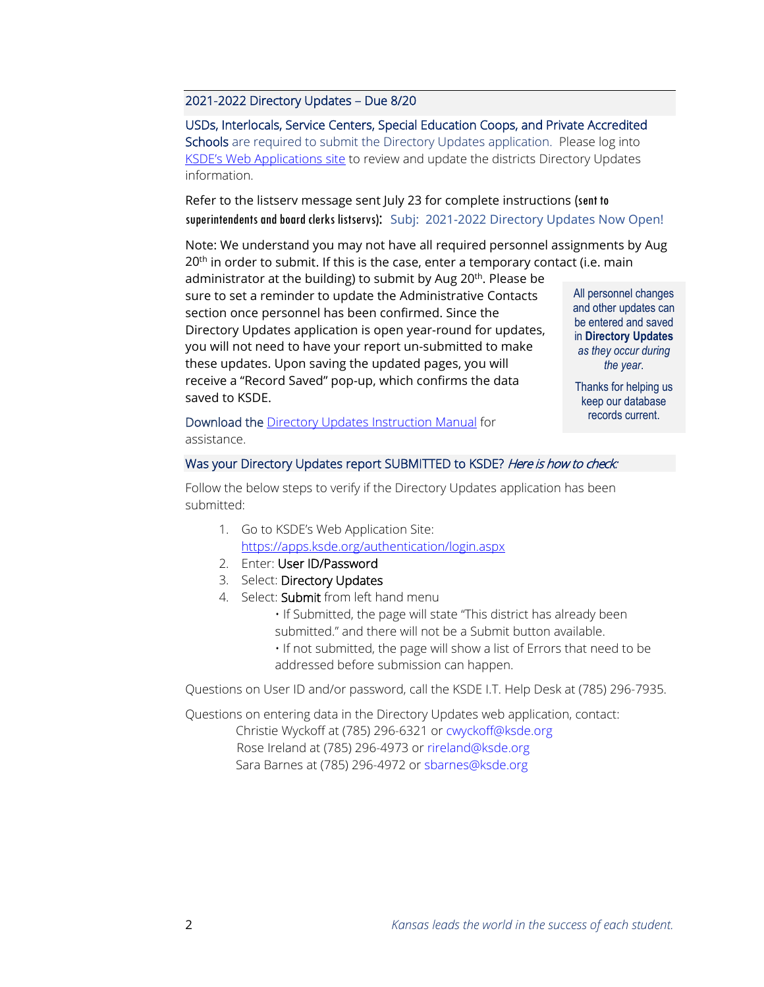## 2021-2022 Directory Updates – Due 8/20

USDs, Interlocals, Service Centers, Special Education Coops, and Private Accredited Schools are required to submit the Directory Updates application. Please log into [KSDE's Web Applications site](https://apps.ksde.org/authentication/login.aspx) to review and update the districts Directory Updates information.

Refer to the listserv message sent July 23 for complete instructions (sent to superintendents and board clerks listservs):Subj: 2021-2022 Directory Updates Now Open!

Note: We understand you may not have all required personnel assignments by Aug  $20<sup>th</sup>$  in order to submit. If this is the case, enter a temporary contact (i.e. main

administrator at the building) to submit by Aug 20<sup>th</sup>. Please be sure to set a reminder to update the Administrative Contacts section once personnel has been confirmed. Since the Directory Updates application is open year-round for updates, you will not need to have your report un-submitted to make these updates. Upon saving the updated pages, you will receive a "Record Saved" pop-up, which confirms the data saved to KSDE.

All personnel changes and other updates can be entered and saved in **Directory Updates** *as they occur during the year*.

Thanks for helping us keep our database records current.

Download the [Directory Updates Instruction Manual](https://www.ksde.org/Agency/Fiscal-and-Administrative-Services/School-Finance/Guidelines-and-Manuals) for assistance.

#### Was your Directory Updates report SUBMITTED to KSDE? Here is how to check:

Follow the below steps to verify if the Directory Updates application has been submitted:

- 1. Go to KSDE's Web Application Site: <https://apps.ksde.org/authentication/login.aspx>
- 2. Enter: User ID/Password
- 3. Select: Directory Updates
- 4. Select: Submit from left hand menu

• If Submitted, the page will state "This district has already been submitted." and there will not be a Submit button available.

• If not submitted, the page will show a list of Errors that need to be addressed before submission can happen.

Questions on User ID and/or password, call the KSDE I.T. Help Desk at (785) 296-7935.

Questions on entering data in the Directory Updates web application, contact: Christie Wyckoff at (785) 296-6321 o[r cwyckoff@ksde.org](mailto:cwyckoff@ksde.org) Rose Ireland at (785) 296-4973 or [rireland@ksde.org](mailto:rireland@ksde.org) Sara Barnes at (785) 296-4972 or [sbarnes@ksde.org](mailto:sbarnes@ksde.org)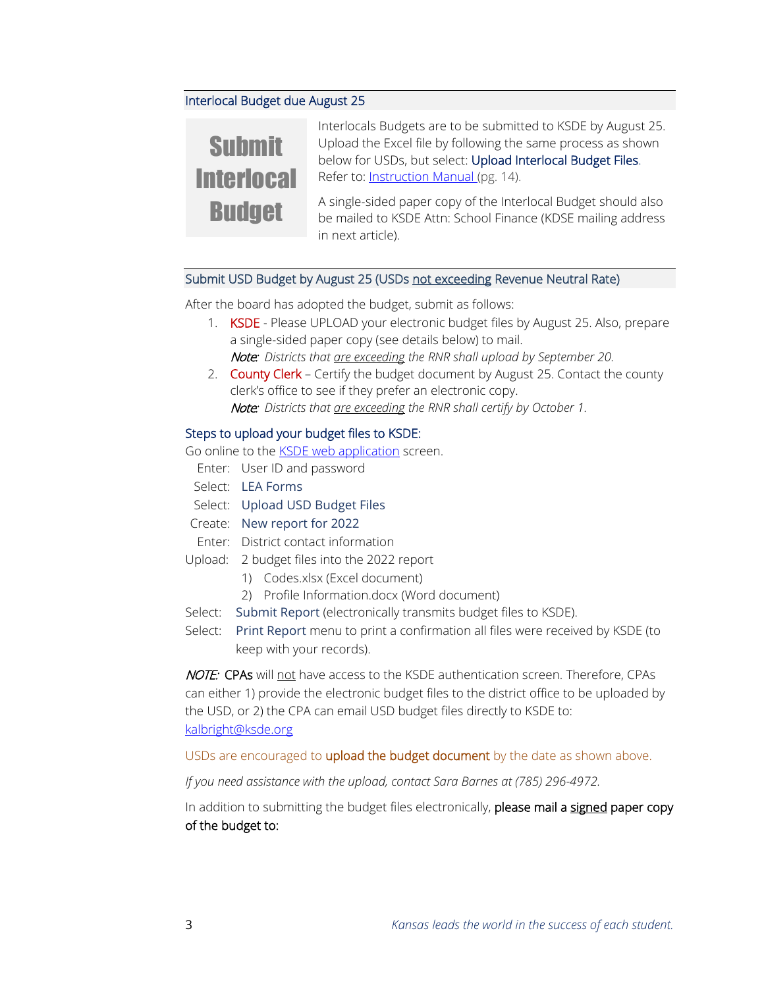## Interlocal Budget due August 25



Interlocals Budgets are to be submitted to KSDE by August 25. Upload the Excel file by following the same process as shown below for USDs, but select: Upload Interlocal Budget Files. Refer to: **Instruction Manual** (pg. 14).

A single-sided paper copy of the Interlocal Budget should also be mailed to KSDE Attn: School Finance (KDSE mailing address in next article).

#### Submit USD Budget by August 25 (USDs not exceeding Revenue Neutral Rate)

After the board has adopted the budget, submit as follows:

- 1. KSDE Please UPLOAD your electronic budget files by August 25. Also, prepare a single-sided paper copy (see details below) to mail. Note: *Districts that are exceeding the RNR shall upload by September 20.*
- 2. County Clerk Certify the budget document by August 25. Contact the county clerk's office to see if they prefer an electronic copy. Note: *Districts that are exceeding the RNR shall certify by October 1.*

#### Steps to upload your budget files to KSDE:

Go online to the **KSDE** web application screen.

- Enter: User ID and password
- Select: LEA Forms
- Select: Upload USD Budget Files
- Create: New report for 2022
- Enter: District contact information
- Upload: 2 budget files into the 2022 report
	- 1) Codes.xlsx (Excel document)
	- 2) Profile Information.docx (Word document)
- Select: Submit Report (electronically transmits budget files to KSDE).
- Select: Print Report menu to print a confirmation all files were received by KSDE (to keep with your records).

NOTE: CPAs will not have access to the KSDE authentication screen. Therefore, CPAs can either 1) provide the electronic budget files to the district office to be uploaded by the USD, or 2) the CPA can email USD budget files directly to KSDE to: [kalbright@ksde.org](mailto:kalbright@ksde.org)

USDs are encouraged to upload the budget document by the date as shown above.

*If you need assistance with the upload, contact Sara Barnes at (785) 296-4972.*

In addition to submitting the budget files electronically, please mail a signed paper copy of the budget to: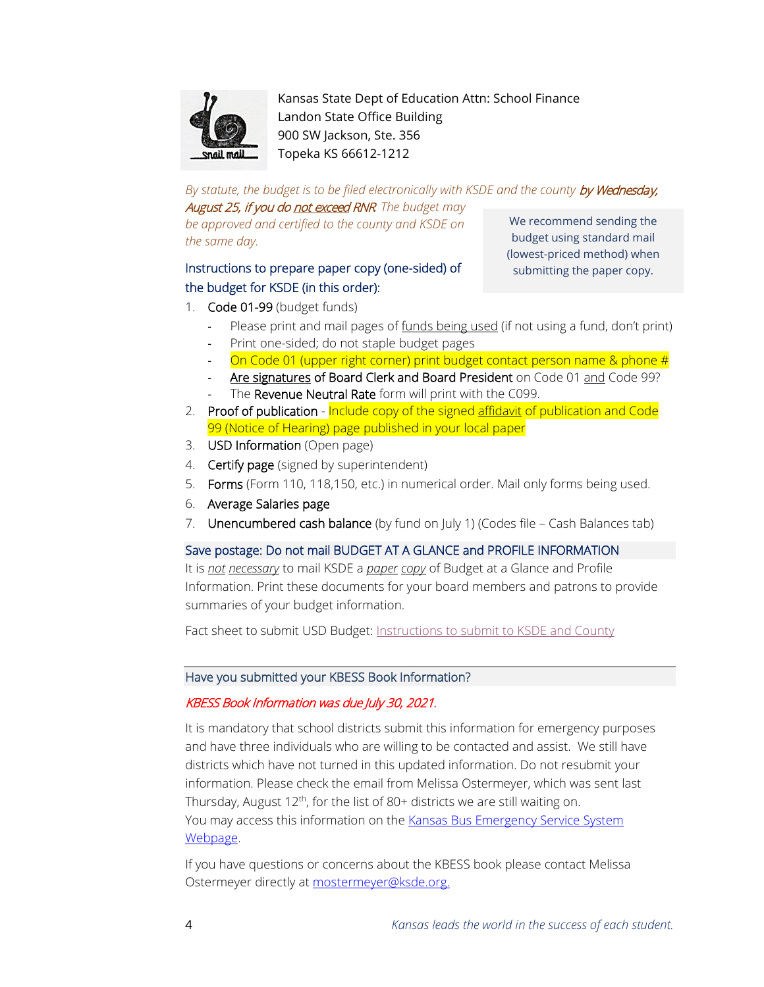

Kansas State Dept of Education Attn: School Finance Landon State Office Building 900 SW Jackson, Ste. 356 Topeka KS 66612-1212

By statute, the budget is to be filed electronically with KSDE and the county by Wednesday, August 25, if you do not exceed RNR*. The budget may* 

*be approved and certified to the county and KSDE on the same day.*

# Instructions to prepare paper copy (one-sided) of the budget for KSDE (in this order):

We recommend sending the budget using standard mail (lowest-priced method) when submitting the paper copy.

- 1. Code 01-99 (budget funds)
	- Please print and mail pages of funds being used (if not using a fund, don't print)
	- Print one-sided; do not staple budget pages
	- On Code 01 (upper right corner) print budget contact person name & phone #
	- Are signatures of Board Clerk and Board President on Code 01 and Code 99?
	- The Revenue Neutral Rate form will print with the C099.
- 2. Proof of publication Include copy of the signed affidavit of publication and Code 99 (Notice of Hearing) page published in your local paper
- 3. USD Information (Open page)
- 4. **Certify page** (signed by superintendent)
- 5. Forms (Form 110, 118,150, etc.) in numerical order. Mail only forms being used.
- 6. Average Salaries page
- 7. Unencumbered cash balance (by fund on July 1) (Codes file Cash Balances tab)

# Save postage: Do not mail BUDGET AT A GLANCE and PROFILE INFORMATION

It is *not necessary* to mail KSDE a *paper copy* of Budget at a Glance and Profile Information. Print these documents for your board members and patrons to provide summaries of your budget information.

Fact sheet to submit USD Budget: [Instructions to submit to KSDE and County](https://www.ksde.org/Portals/0/School%20Finance/budget/Budget_Software/Submit_Budget.pdf?ver=2021-08-16-145406-613)

# Have you submitted your KBESS Book Information?

# KBESS Book Information was due July 30, 2021.

It is mandatory that school districts submit this information for emergency purposes and have three individuals who are willing to be contacted and assist. We still have districts which have not turned in this updated information. Do not resubmit your information. Please check the email from Melissa Ostermeyer, which was sent last Thursday, August 12<sup>th</sup>, for the list of 80+ districts we are still waiting on. You may access this information on the [Kansas Bus Emergency Service System](https://www.ksde.org/Agency/Fiscal-and-Administrative-Services/School-Finance/School-Bus-Safety/Kansas-Bus-Emergency-Service-System)  [Webpage.](https://www.ksde.org/Agency/Fiscal-and-Administrative-Services/School-Finance/School-Bus-Safety/Kansas-Bus-Emergency-Service-System)

If you have questions or concerns about the KBESS book please contact Melissa Ostermeyer directly at [mostermeyer@ksde.org.](mailto:mostermeyer@ksde.org)